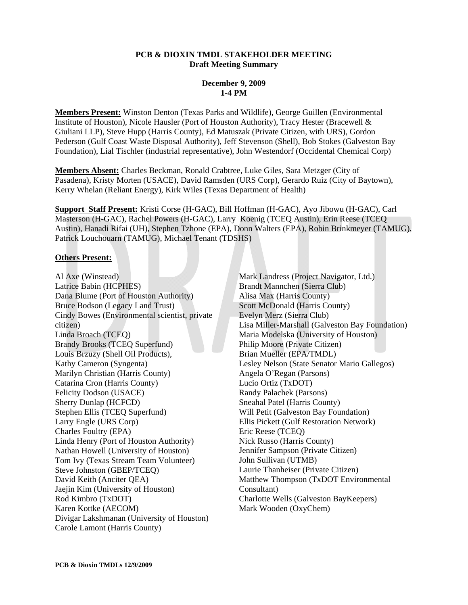#### **PCB & DIOXIN TMDL STAKEHOLDER MEETING Draft Meeting Summary**

#### **December 9, 2009 1-4 PM**

**Members Present:** Winston Denton (Texas Parks and Wildlife), George Guillen (Environmental Institute of Houston), Nicole Hausler (Port of Houston Authority), Tracy Hester (Bracewell & Giuliani LLP), Steve Hupp (Harris County), Ed Matuszak (Private Citizen, with URS), Gordon Pederson (Gulf Coast Waste Disposal Authority), Jeff Stevenson (Shell), Bob Stokes (Galveston Bay Foundation), Lial Tischler (industrial representative), John Westendorf (Occidental Chemical Corp)

**Members Absent:** Charles Beckman, Ronald Crabtree, Luke Giles, Sara Metzger (City of Pasadena), Kristy Morten (USACE), David Ramsden (URS Corp), Gerardo Ruiz (City of Baytown), Kerry Whelan (Reliant Energy), Kirk Wiles (Texas Department of Health)

**Support Staff Present:** Kristi Corse (H-GAC), Bill Hoffman (H-GAC), Ayo Jibowu (H-GAC), Carl Masterson (H-GAC), Rachel Powers (H-GAC), Larry Koenig (TCEQ Austin), Erin Reese (TCEQ Austin), Hanadi Rifai (UH), Stephen Tzhone (EPA), Donn Walters (EPA), Robin Brinkmeyer (TAMUG), Patrick Louchouarn (TAMUG), Michael Tenant (TDSHS)

## **Others Present:**

Al Axe (Winstead) Latrice Babin (HCPHES) Dana Blume (Port of Houston Authority) Bruce Bodson (Legacy Land Trust) Cindy Bowes (Environmental scientist, private citizen) Linda Broach (TCEQ) Brandy Brooks (TCEQ Superfund) Louis Brzuzy (Shell Oil Products), Kathy Cameron (Syngenta) Marilyn Christian (Harris County) Catarina Cron (Harris County) Felicity Dodson (USACE) Sherry Dunlap (HCFCD) Stephen Ellis (TCEQ Superfund) Larry Engle (URS Corp) Charles Foultry (EPA) Linda Henry (Port of Houston Authority) Nathan Howell (University of Houston) Tom Ivy (Texas Stream Team Volunteer) Steve Johnston (GBEP/TCEQ) David Keith (Anciter QEA) Jaejin Kim (University of Houston) Rod Kimbro (TxDOT) Karen Kottke (AECOM) Divigar Lakshmanan (University of Houston) Carole Lamont (Harris County)

Mark Landress (Project Navigator, Ltd.) Brandt Mannchen (Sierra Club) Alisa Max (Harris County) Scott McDonald (Harris County) Evelyn Merz (Sierra Club) Lisa Miller-Marshall (Galveston Bay Foundation) Maria Modelska (University of Houston) Philip Moore (Private Citizen) Brian Mueller (EPA/TMDL) Lesley Nelson (State Senator Mario Gallegos) Angela O'Regan (Parsons) Lucio Ortiz (TxDOT) Randy Palachek (Parsons) Sneahal Patel (Harris County) Will Petit (Galveston Bay Foundation) Ellis Pickett (Gulf Restoration Network) Eric Reese (TCEQ) Nick Russo (Harris County) Jennifer Sampson (Private Citizen) John Sullivan (UTMB) Laurie Thanheiser (Private Citizen) Matthew Thompson (TxDOT Environmental Consultant) Charlotte Wells (Galveston BayKeepers) Mark Wooden (OxyChem)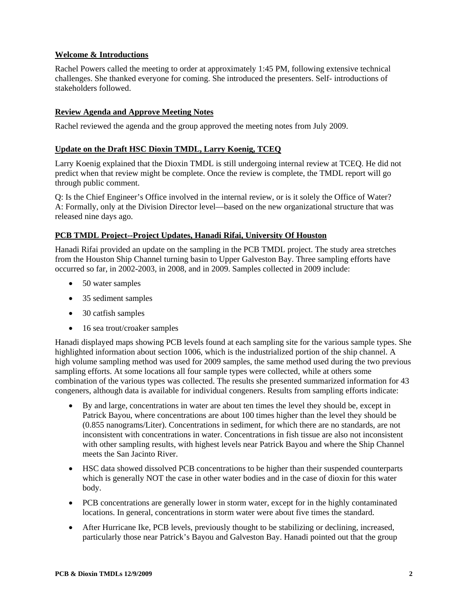# **Welcome & Introductions**

Rachel Powers called the meeting to order at approximately 1:45 PM, following extensive technical challenges. She thanked everyone for coming. She introduced the presenters. Self- introductions of stakeholders followed.

## **Review Agenda and Approve Meeting Notes**

Rachel reviewed the agenda and the group approved the meeting notes from July 2009.

## **Update on the Draft HSC Dioxin TMDL, Larry Koenig, TCEQ**

Larry Koenig explained that the Dioxin TMDL is still undergoing internal review at TCEQ. He did not predict when that review might be complete. Once the review is complete, the TMDL report will go through public comment.

Q: Is the Chief Engineer's Office involved in the internal review, or is it solely the Office of Water? A: Formally, only at the Division Director level—based on the new organizational structure that was released nine days ago.

## **PCB TMDL Project--Project Updates, Hanadi Rifai, University Of Houston**

Hanadi Rifai provided an update on the sampling in the PCB TMDL project. The study area stretches from the Houston Ship Channel turning basin to Upper Galveston Bay. Three sampling efforts have occurred so far, in 2002-2003, in 2008, and in 2009. Samples collected in 2009 include:

- 50 water samples
- 35 sediment samples
- 30 catfish samples
- 16 sea trout/croaker samples

Hanadi displayed maps showing PCB levels found at each sampling site for the various sample types. She highlighted information about section 1006, which is the industrialized portion of the ship channel. A high volume sampling method was used for 2009 samples, the same method used during the two previous sampling efforts. At some locations all four sample types were collected, while at others some combination of the various types was collected. The results she presented summarized information for 43 congeners, although data is available for individual congeners. Results from sampling efforts indicate:

- By and large, concentrations in water are about ten times the level they should be, except in Patrick Bayou, where concentrations are about 100 times higher than the level they should be (0.855 nanograms/Liter). Concentrations in sediment, for which there are no standards, are not inconsistent with concentrations in water. Concentrations in fish tissue are also not inconsistent with other sampling results, with highest levels near Patrick Bayou and where the Ship Channel meets the San Jacinto River.
- HSC data showed dissolved PCB concentrations to be higher than their suspended counterparts which is generally NOT the case in other water bodies and in the case of dioxin for this water body.
- PCB concentrations are generally lower in storm water, except for in the highly contaminated locations. In general, concentrations in storm water were about five times the standard.
- After Hurricane Ike, PCB levels, previously thought to be stabilizing or declining, increased, particularly those near Patrick's Bayou and Galveston Bay. Hanadi pointed out that the group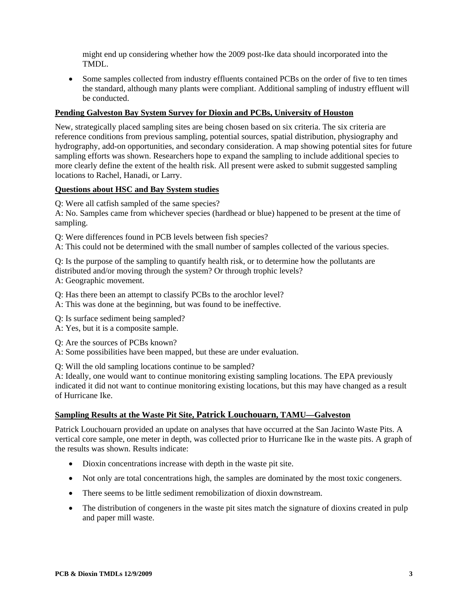might end up considering whether how the 2009 post-Ike data should incorporated into the TMDL.

• Some samples collected from industry effluents contained PCBs on the order of five to ten times the standard, although many plants were compliant. Additional sampling of industry effluent will be conducted.

#### **Pending Galveston Bay System Survey for Dioxin and PCBs, University of Houston**

New, strategically placed sampling sites are being chosen based on six criteria. The six criteria are reference conditions from previous sampling, potential sources, spatial distribution, physiography and hydrography, add-on opportunities, and secondary consideration. A map showing potential sites for future sampling efforts was shown. Researchers hope to expand the sampling to include additional species to more clearly define the extent of the health risk. All present were asked to submit suggested sampling locations to Rachel, Hanadi, or Larry.

#### **Questions about HSC and Bay System studies**

Q: Were all catfish sampled of the same species?

A: No. Samples came from whichever species (hardhead or blue) happened to be present at the time of sampling.

Q: Were differences found in PCB levels between fish species?

A: This could not be determined with the small number of samples collected of the various species.

Q: Is the purpose of the sampling to quantify health risk, or to determine how the pollutants are distributed and/or moving through the system? Or through trophic levels? A: Geographic movement.

Q: Has there been an attempt to classify PCBs to the arochlor level?

A: This was done at the beginning, but was found to be ineffective.

Q: Is surface sediment being sampled?

A: Yes, but it is a composite sample.

Q: Are the sources of PCBs known?

A: Some possibilities have been mapped, but these are under evaluation.

Q: Will the old sampling locations continue to be sampled?

A: Ideally, one would want to continue monitoring existing sampling locations. The EPA previously indicated it did not want to continue monitoring existing locations, but this may have changed as a result of Hurricane Ike.

## **Sampling Results at the Waste Pit Site, Patrick Louchouarn, TAMU—Galveston**

Patrick Louchouarn provided an update on analyses that have occurred at the San Jacinto Waste Pits. A vertical core sample, one meter in depth, was collected prior to Hurricane Ike in the waste pits. A graph of the results was shown. Results indicate:

- Dioxin concentrations increase with depth in the waste pit site.
- Not only are total concentrations high, the samples are dominated by the most toxic congeners.
- There seems to be little sediment remobilization of dioxin downstream.
- The distribution of congeners in the waste pit sites match the signature of dioxins created in pulp and paper mill waste.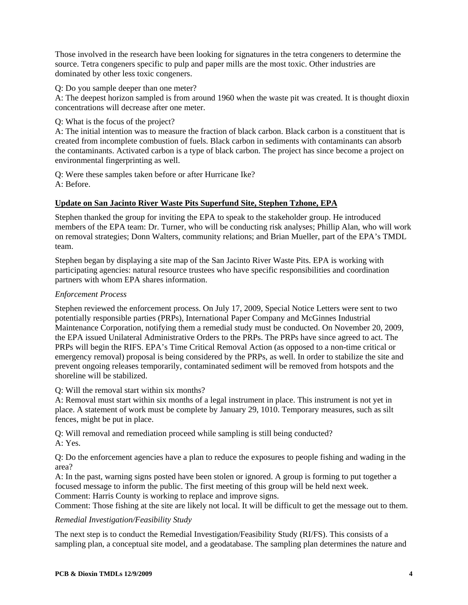Those involved in the research have been looking for signatures in the tetra congeners to determine the source. Tetra congeners specific to pulp and paper mills are the most toxic. Other industries are dominated by other less toxic congeners.

Q: Do you sample deeper than one meter?

A: The deepest horizon sampled is from around 1960 when the waste pit was created. It is thought dioxin concentrations will decrease after one meter.

Q: What is the focus of the project?

A: The initial intention was to measure the fraction of black carbon. Black carbon is a constituent that is created from incomplete combustion of fuels. Black carbon in sediments with contaminants can absorb the contaminants. Activated carbon is a type of black carbon. The project has since become a project on environmental fingerprinting as well.

Q: Were these samples taken before or after Hurricane Ike? A: Before.

# **Update on San Jacinto River Waste Pits Superfund Site, Stephen Tzhone, EPA**

Stephen thanked the group for inviting the EPA to speak to the stakeholder group. He introduced members of the EPA team: Dr. Turner, who will be conducting risk analyses; Phillip Alan, who will work on removal strategies; Donn Walters, community relations; and Brian Mueller, part of the EPA's TMDL team.

Stephen began by displaying a site map of the San Jacinto River Waste Pits. EPA is working with participating agencies: natural resource trustees who have specific responsibilities and coordination partners with whom EPA shares information.

# *Enforcement Process*

Stephen reviewed the enforcement process. On July 17, 2009, Special Notice Letters were sent to two potentially responsible parties (PRPs), International Paper Company and McGinnes Industrial Maintenance Corporation, notifying them a remedial study must be conducted. On November 20, 2009, the EPA issued Unilateral Administrative Orders to the PRPs. The PRPs have since agreed to act. The PRPs will begin the RIFS. EPA's Time Critical Removal Action (as opposed to a non-time critical or emergency removal) proposal is being considered by the PRPs, as well. In order to stabilize the site and prevent ongoing releases temporarily, contaminated sediment will be removed from hotspots and the shoreline will be stabilized.

Q: Will the removal start within six months?

A: Removal must start within six months of a legal instrument in place. This instrument is not yet in place. A statement of work must be complete by January 29, 1010. Temporary measures, such as silt fences, might be put in place.

Q: Will removal and remediation proceed while sampling is still being conducted? A: Yes.

Q: Do the enforcement agencies have a plan to reduce the exposures to people fishing and wading in the area?

A: In the past, warning signs posted have been stolen or ignored. A group is forming to put together a focused message to inform the public. The first meeting of this group will be held next week. Comment: Harris County is working to replace and improve signs.

Comment: Those fishing at the site are likely not local. It will be difficult to get the message out to them.

## *Remedial Investigation/Feasibility Study*

The next step is to conduct the Remedial Investigation/Feasibility Study (RI/FS). This consists of a sampling plan, a conceptual site model, and a geodatabase. The sampling plan determines the nature and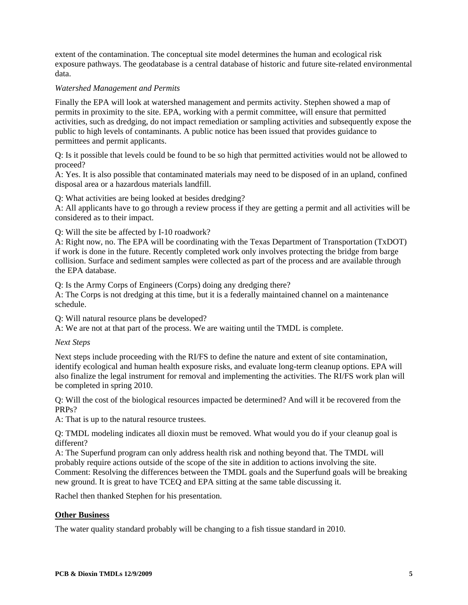extent of the contamination. The conceptual site model determines the human and ecological risk exposure pathways. The geodatabase is a central database of historic and future site-related environmental data.

## *Watershed Management and Permits*

Finally the EPA will look at watershed management and permits activity. Stephen showed a map of permits in proximity to the site. EPA, working with a permit committee, will ensure that permitted activities, such as dredging, do not impact remediation or sampling activities and subsequently expose the public to high levels of contaminants. A public notice has been issued that provides guidance to permittees and permit applicants.

Q: Is it possible that levels could be found to be so high that permitted activities would not be allowed to proceed?

A: Yes. It is also possible that contaminated materials may need to be disposed of in an upland, confined disposal area or a hazardous materials landfill.

Q: What activities are being looked at besides dredging?

A: All applicants have to go through a review process if they are getting a permit and all activities will be considered as to their impact.

Q: Will the site be affected by I-10 roadwork?

A: Right now, no. The EPA will be coordinating with the Texas Department of Transportation (TxDOT) if work is done in the future. Recently completed work only involves protecting the bridge from barge collision. Surface and sediment samples were collected as part of the process and are available through the EPA database.

Q: Is the Army Corps of Engineers (Corps) doing any dredging there?

A: The Corps is not dredging at this time, but it is a federally maintained channel on a maintenance schedule.

Q: Will natural resource plans be developed?

A: We are not at that part of the process. We are waiting until the TMDL is complete.

*Next Steps* 

Next steps include proceeding with the RI/FS to define the nature and extent of site contamination, identify ecological and human health exposure risks, and evaluate long-term cleanup options. EPA will also finalize the legal instrument for removal and implementing the activities. The RI/FS work plan will be completed in spring 2010.

Q: Will the cost of the biological resources impacted be determined? And will it be recovered from the PRPs?

A: That is up to the natural resource trustees.

Q: TMDL modeling indicates all dioxin must be removed. What would you do if your cleanup goal is different?

A: The Superfund program can only address health risk and nothing beyond that. The TMDL will probably require actions outside of the scope of the site in addition to actions involving the site. Comment: Resolving the differences between the TMDL goals and the Superfund goals will be breaking new ground. It is great to have TCEQ and EPA sitting at the same table discussing it.

Rachel then thanked Stephen for his presentation.

## **Other Business**

The water quality standard probably will be changing to a fish tissue standard in 2010.